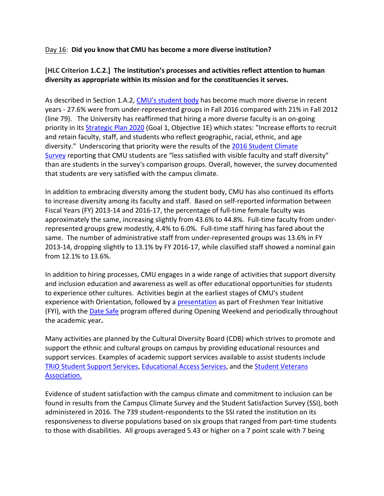## Day 16: **Did you know that CMU has become a more diverse institution?**

## **[HLC Criterion 1.C.2.] The institution's processes and activities reflect attention to human diversity as appropriate within its mission and for the constituencies it serves.**

As described in Section 1.A.2, CMU's student body has become much more diverse in recent years ‐ 27.6% were from under‐represented groups in Fall 2016 compared with 21% in Fall 2012 (line 79). The University has reaffirmed that hiring a more diverse faculty is an on‐going priority in its Strategic Plan 2020 (Goal 1, Objective 1E) which states: "Increase efforts to recruit and retain faculty, staff, and students who reflect geographic, racial, ethnic, and age diversity." Underscoring that priority were the results of the 2016 Student Climate Survey reporting that CMU students are "less satisfied with visible faculty and staff diversity" than are students in the survey's comparison groups. Overall, however, the survey documented that students are very satisfied with the campus climate.

In addition to embracing diversity among the student body, CMU has also continued its efforts to increase diversity among its faculty and staff. Based on self-reported information between Fiscal Years (FY) 2013‐14 and 2016‐17, the percentage of full‐time female faculty was approximately the same, increasing slightly from 43.6% to 44.8%. Full-time faculty from underrepresented groups grew modestly, 4.4% to 6.0%. Full‐time staff hiring has fared about the same. The number of administrative staff from under-represented groups was 13.6% in FY 2013‐14, dropping slightly to 13.1% by FY 2016‐17, while classified staff showed a nominal gain from 12.1% to 13.6%.

In addition to hiring processes, CMU engages in a wide range of activities that support diversity and inclusion education and awareness as well as offer educational opportunities for students to experience other cultures. Activities begin at the earliest stages of CMU's student experience with Orientation, followed by a presentation as part of Freshmen Year Initiative (FYI), with the **Date Safe program offered during Opening Weekend and periodically throughout** the academic year**.**

Many activities are planned by the Cultural Diversity Board (CDB) which strives to promote and support the ethnic and cultural groups on campus by providing educational resources and support services. Examples of academic support services available to assist students include TRiO Student Support Services, Educational Access Services, and the Student Veterans Association.

Evidence of student satisfaction with the campus climate and commitment to inclusion can be found in results from the Campus Climate Survey and the Student Satisfaction Survey (SSI), both administered in 2016. The 739 student‐respondents to the SSI rated the institution on its responsiveness to diverse populations based on six groups that ranged from part‐time students to those with disabilities. All groups averaged 5.43 or higher on a 7 point scale with 7 being